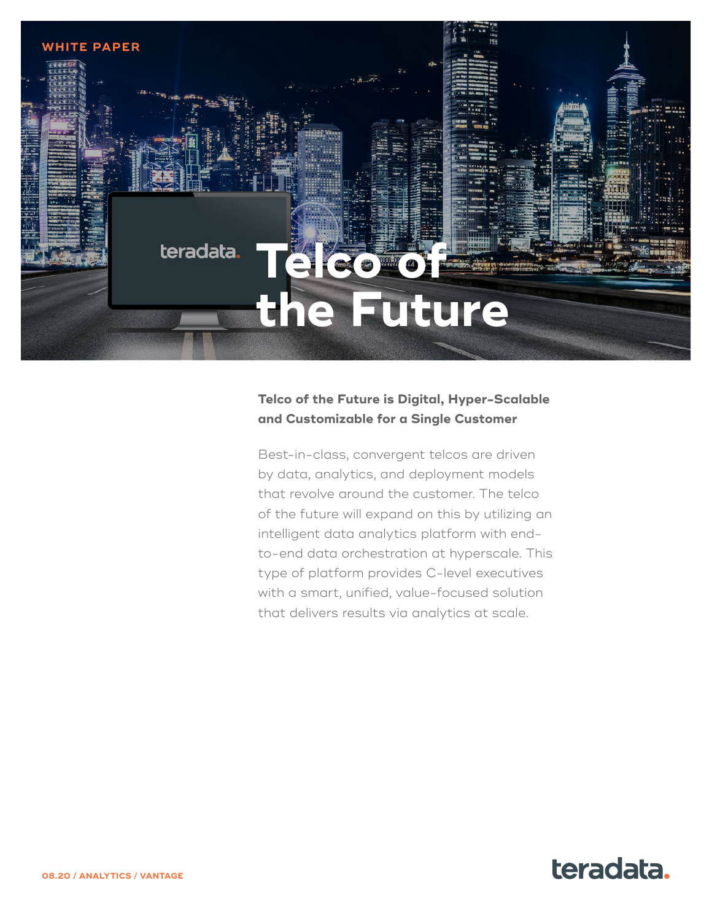

### **Telco of the Future is Digital, Hyper-Scalable and Customizable for a Single Customer**

Best-in-class, convergent telcos are driven by data, analytics, and deployment models that revolve around the customer. The telco of the future will expand on this by utilizing an intelligent data analytics platform with endto-end data orchestration at hyperscale. This type of platform provides C-level executives with a smart, unified, value-focused solution that delivers results via analytics at scale.

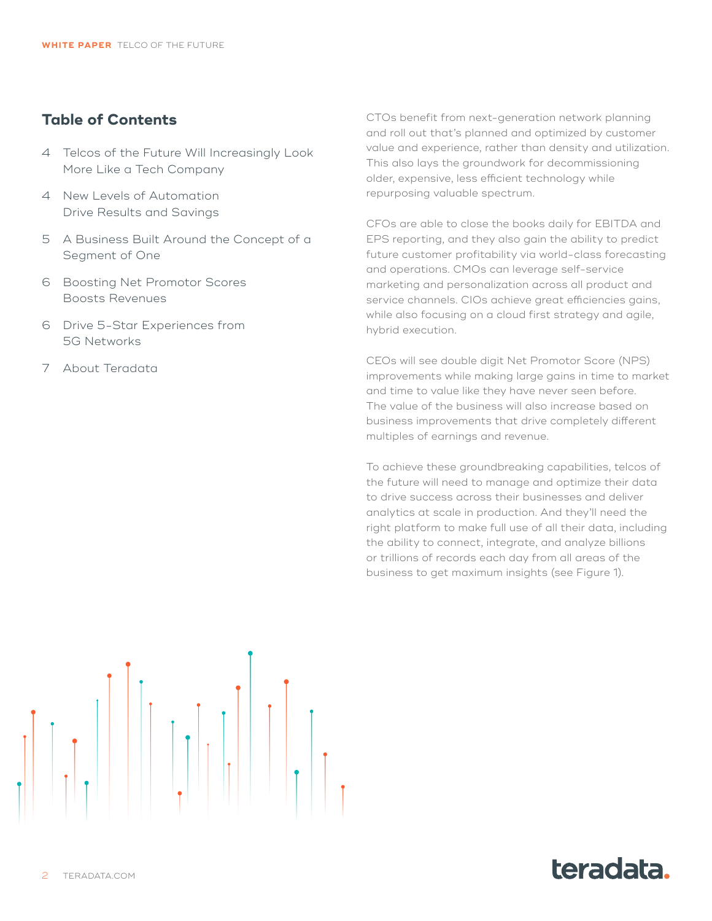#### **Table of Contents**

- 4 [Telcos of the Future Will Increasingly Look](#page-3-0)  [More Like a Tech Company](#page-3-0)
- 4 [New Levels of Automation](#page-3-0)  [Drive Results and Savings](#page-3-0)
- 5 [A Business Built Around the Concept of a](#page-4-0)  [Segment of One](#page-4-0)
- 6 [Boosting Net Promotor Scores](#page-5-0)  [Boosts Revenues](#page-5-0)
- 6 [Drive 5-Star Experiences from](#page-5-0)  [5G Networks](#page-5-0)
- 7 [About Teradata](#page-6-0)

CTOs benefit from next-generation network planning and roll out that's planned and optimized by customer value and experience, rather than density and utilization. This also lays the groundwork for decommissioning older, expensive, less efficient technology while repurposing valuable spectrum.

CFOs are able to close the books daily for EBITDA and EPS reporting, and they also gain the ability to predict future customer profitability via world-class forecasting and operations. CMOs can leverage self-service marketing and personalization across all product and service channels. CIOs achieve great efficiencies gains, while also focusing on a cloud first strategy and agile, hybrid execution.

CEOs will see double digit Net Promotor Score (NPS) improvements while making large gains in time to market and time to value like they have never seen before. The value of the business will also increase based on business improvements that drive completely different multiples of earnings and revenue.

To achieve these groundbreaking capabilities, telcos of the future will need to manage and optimize their data to drive success across their businesses and deliver analytics at scale in production. And they'll need the right platform to make full use of all their data, including the ability to connect, integrate, and analyze billions or trillions of records each day from all areas of the business to get maximum insights (see Figure 1).



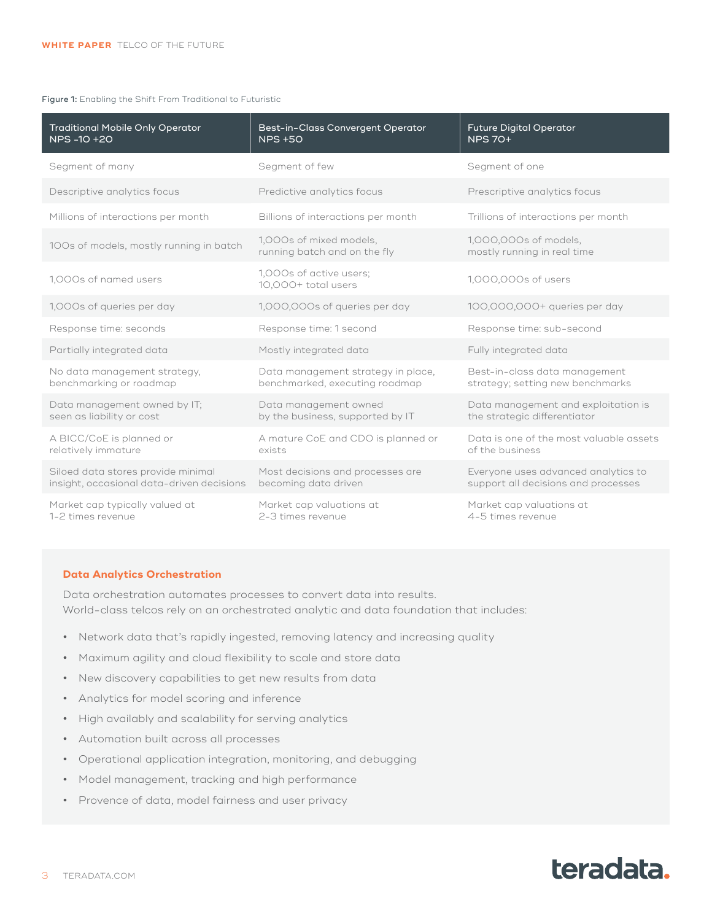#### Figure 1: Enabling the Shift From Traditional to Futuristic

| <b>Traditional Mobile Only Operator</b><br>NPS -10 +20                          | Best-in-Class Convergent Operator<br><b>NPS +50</b>                  | <b>Future Digital Operator</b><br><b>NPS 70+</b>                           |
|---------------------------------------------------------------------------------|----------------------------------------------------------------------|----------------------------------------------------------------------------|
| Segment of many                                                                 | Segment of few                                                       | Segment of one                                                             |
| Descriptive analytics focus                                                     | Predictive analytics focus                                           | Prescriptive analytics focus                                               |
| Millions of interactions per month                                              | Billions of interactions per month                                   | Trillions of interactions per month                                        |
| 100s of models, mostly running in batch                                         | 1,000s of mixed models,<br>running batch and on the fly              | 1,000,000s of models,<br>mostly running in real time                       |
| 1,000s of named users                                                           | 1,000s of active users;<br>10,000+ total users                       | 1,000,000s of users                                                        |
| 1,000s of queries per day                                                       | 1,000,000s of queries per day                                        | 100,000,000+ queries per day                                               |
| Response time: seconds                                                          | Response time: 1 second                                              | Response time: sub-second                                                  |
| Partially integrated data                                                       | Mostly integrated data                                               | Fully integrated data                                                      |
| No data management strategy,<br>benchmarking or roadmap                         | Data management strategy in place,<br>benchmarked, executing roadmap | Best-in-class data management<br>strategy; setting new benchmarks          |
| Data management owned by IT;<br>seen as liability or cost                       | Data management owned<br>by the business, supported by IT            | Data management and exploitation is<br>the strategic differentiator        |
| A BICC/CoE is planned or<br>relatively immature                                 | A mature CoE and CDO is planned or<br>exists                         | Data is one of the most valuable assets<br>of the business                 |
| Siloed data stores provide minimal<br>insight, occasional data-driven decisions | Most decisions and processes are<br>becoming data driven             | Everyone uses advanced analytics to<br>support all decisions and processes |
| Market cap typically valued at<br>1-2 times revenue                             | Market cap valuations at<br>2-3 times revenue                        | Market cap valuations at<br>4-5 times revenue                              |

#### **Data Analytics Orchestration**

Data orchestration automates processes to convert data into results. World-class telcos rely on an orchestrated analytic and data foundation that includes:

- **•** Network data that's rapidly ingested, removing latency and increasing quality
- **•** Maximum agility and cloud flexibility to scale and store data
- **•** New discovery capabilities to get new results from data
- **•** Analytics for model scoring and inference
- **•** High availably and scalability for serving analytics
- **•** Automation built across all processes
- **•** Operational application integration, monitoring, and debugging
- **•** Model management, tracking and high performance
- **•** Provence of data, model fairness and user privacy

# teradata.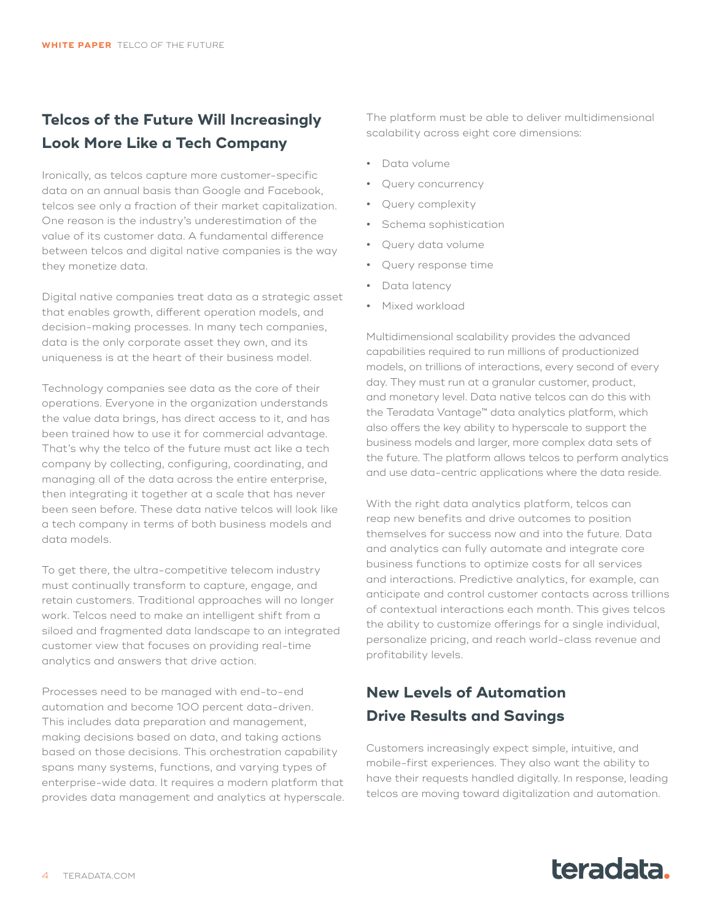## <span id="page-3-0"></span>**Telcos of the Future Will Increasingly Look More Like a Tech Company**

Ironically, as telcos capture more customer-specific data on an annual basis than Google and Facebook, telcos see only a fraction of their market capitalization. One reason is the industry's underestimation of the value of its customer data. A fundamental difference between telcos and digital native companies is the way they monetize data.

Digital native companies treat data as a strategic asset that enables growth, different operation models, and decision-making processes. In many tech companies, data is the only corporate asset they own, and its uniqueness is at the heart of their business model.

Technology companies see data as the core of their operations. Everyone in the organization understands the value data brings, has direct access to it, and has been trained how to use it for commercial advantage. That's why the telco of the future must act like a tech company by collecting, configuring, coordinating, and managing all of the data across the entire enterprise, then integrating it together at a scale that has never been seen before. These data native telcos will look like a tech company in terms of both business models and data models.

To get there, the ultra-competitive telecom industry must continually transform to capture, engage, and retain customers. Traditional approaches will no longer work. Telcos need to make an intelligent shift from a siloed and fragmented data landscape to an integrated customer view that focuses on providing real-time analytics and answers that drive action.

Processes need to be managed with end-to-end automation and become 100 percent data-driven. This includes data preparation and management, making decisions based on data, and taking actions based on those decisions. This orchestration capability spans many systems, functions, and varying types of enterprise-wide data. It requires a modern platform that provides data management and analytics at hyperscale.

The platform must be able to deliver multidimensional scalability across eight core dimensions:

- **•** Data volume
- **•** Query concurrency
- **•** Query complexity
- **•** Schema sophistication
- **•** Query data volume
- **•** Query response time
- **•** Data latency
- **•** Mixed workload

Multidimensional scalability provides the advanced capabilities required to run millions of productionized models, on trillions of interactions, every second of every day. They must run at a granular customer, product, and monetary level. Data native telcos can do this with the Teradata Vantage™ data analytics platform, which also offers the key ability to hyperscale to support the business models and larger, more complex data sets of the future. The platform allows telcos to perform analytics and use data-centric applications where the data reside.

With the right data analytics platform, telcos can reap new benefits and drive outcomes to position themselves for success now and into the future. Data and analytics can fully automate and integrate core business functions to optimize costs for all services and interactions. Predictive analytics, for example, can anticipate and control customer contacts across trillions of contextual interactions each month. This gives telcos the ability to customize offerings for a single individual, personalize pricing, and reach world-class revenue and profitability levels.

### **New Levels of Automation Drive Results and Savings**

Customers increasingly expect simple, intuitive, and mobile-first experiences. They also want the ability to have their requests handled digitally. In response, leading telcos are moving toward digitalization and automation.

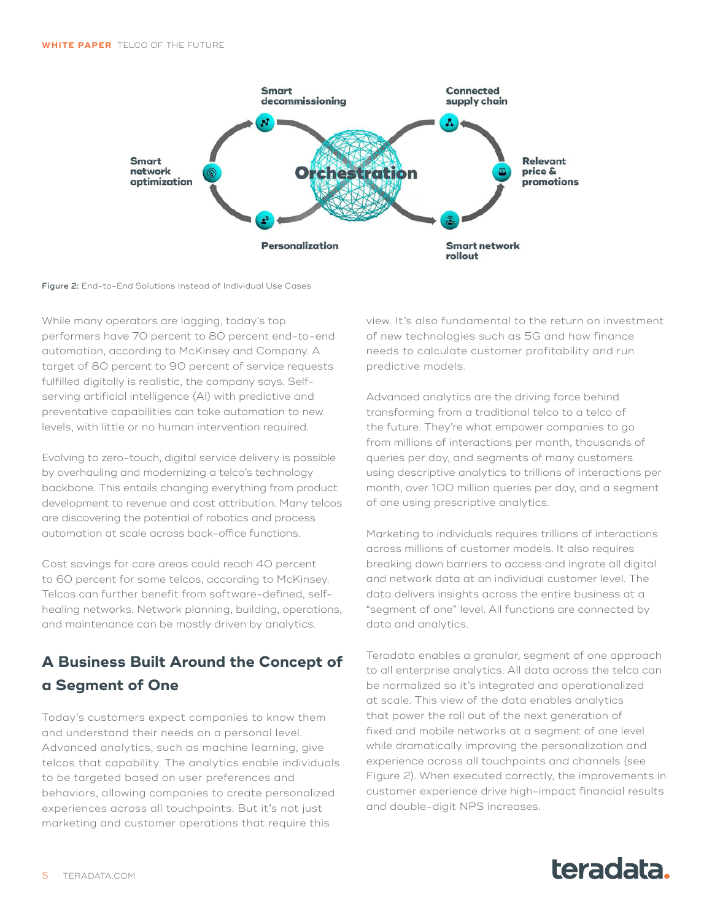<span id="page-4-0"></span>

#### Figure 2: End-to-End Solutions Instead of Individual Use Cases

While many operators are lagging, today's top performers have 70 percent to 80 percent end-to-end automation, according to McKinsey and Company. A target of 80 percent to 90 percent of service requests fulfilled digitally is realistic, the company says. Selfserving artificial intelligence (AI) with predictive and preventative capabilities can take automation to new levels, with little or no human intervention required.

Evolving to zero-touch, digital service delivery is possible by overhauling and modernizing a telco's technology backbone. This entails changing everything from product development to revenue and cost attribution. Many telcos are discovering the potential of robotics and process automation at scale across back-office functions.

Cost savings for core areas could reach 40 percent to 60 percent for some telcos, according to McKinsey. Telcos can further benefit from software-defined, selfhealing networks. Network planning, building, operations, and maintenance can be mostly driven by analytics.

### **A Business Built Around the Concept of a Segment of One**

Today's customers expect companies to know them and understand their needs on a personal level. Advanced analytics, such as machine learning, give telcos that capability. The analytics enable individuals to be targeted based on user preferences and behaviors, allowing companies to create personalized experiences across all touchpoints. But it's not just marketing and customer operations that require this

view. It's also fundamental to the return on investment of new technologies such as 5G and how finance needs to calculate customer profitability and run predictive models.

Advanced analytics are the driving force behind transforming from a traditional telco to a telco of the future. They're what empower companies to go from millions of interactions per month, thousands of queries per day, and segments of many customers using descriptive analytics to trillions of interactions per month, over 100 million queries per day, and a segment of one using prescriptive analytics.

Marketing to individuals requires trillions of interactions across millions of customer models. It also requires breaking down barriers to access and ingrate all digital and network data at an individual customer level. The data delivers insights across the entire business at a "segment of one" level. All functions are connected by data and analytics.

Teradata enables a granular, segment of one approach to all enterprise analytics. All data across the telco can be normalized so it's integrated and operationalized at scale. This view of the data enables analytics that power the roll out of the next generation of fixed and mobile networks at a segment of one level while dramatically improving the personalization and experience across all touchpoints and channels (see Figure 2). When executed correctly, the improvements in customer experience drive high-impact financial results and double-digit NPS increases.

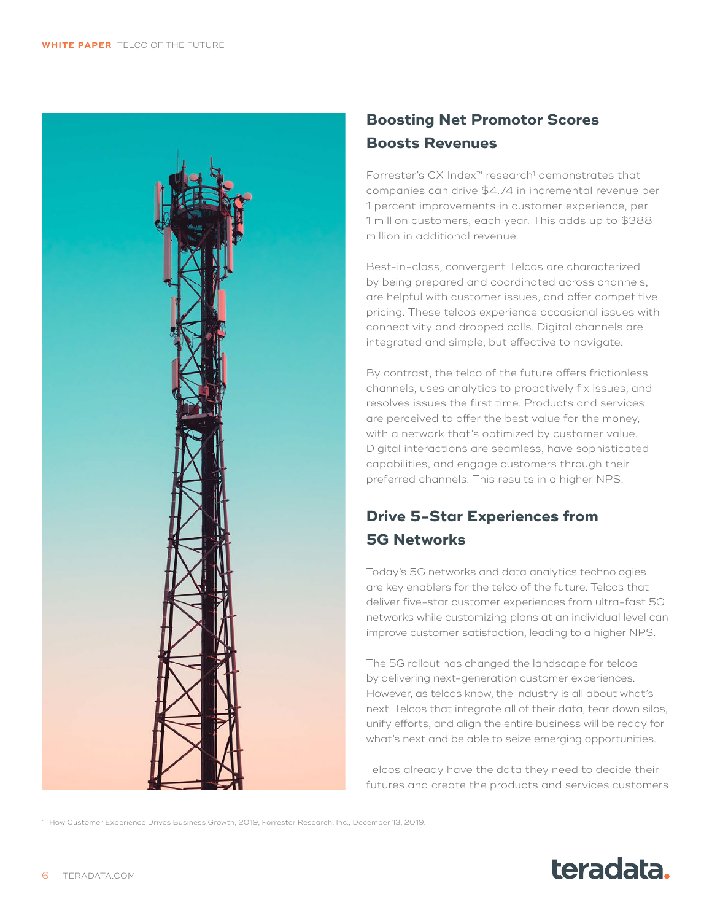<span id="page-5-0"></span>

## **Boosting Net Promotor Scores Boosts Revenues**

Forrester's CX Index™ research1 demonstrates that companies can drive \$4.74 in incremental revenue per 1 percent improvements in customer experience, per 1 million customers, each year. This adds up to \$388 million in additional revenue.

Best-in-class, convergent Telcos are characterized by being prepared and coordinated across channels, are helpful with customer issues, and offer competitive pricing. These telcos experience occasional issues with connectivity and dropped calls. Digital channels are integrated and simple, but effective to navigate.

By contrast, the telco of the future offers frictionless channels, uses analytics to proactively fix issues, and resolves issues the first time. Products and services are perceived to offer the best value for the money, with a network that's optimized by customer value. Digital interactions are seamless, have sophisticated capabilities, and engage customers through their preferred channels. This results in a higher NPS.

# **Drive 5-Star Experiences from 5G Networks**

Today's 5G networks and data analytics technologies are key enablers for the telco of the future. Telcos that deliver five-star customer experiences from ultra-fast 5G networks while customizing plans at an individual level can improve customer satisfaction, leading to a higher NPS.

The 5G rollout has changed the landscape for telcos by delivering next-generation customer experiences. However, as telcos know, the industry is all about what's next. Telcos that integrate all of their data, tear down silos, unify efforts, and align the entire business will be ready for what's next and be able to seize emerging opportunities.

Telcos already have the data they need to decide their futures and create the products and services customers



<sup>1</sup> How Customer Experience Drives Business Growth, 2019, Forrester Research, Inc., December 13, 2019.